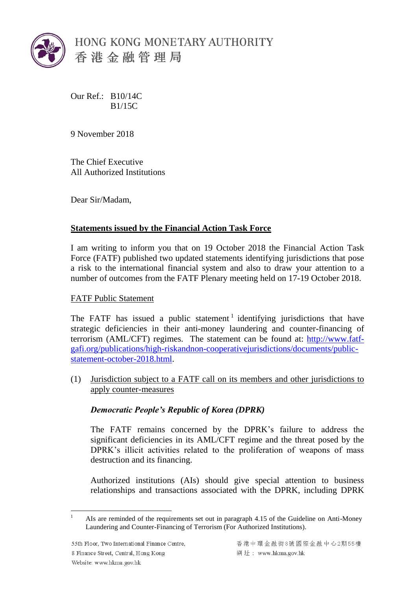

Our Ref.: B10/14C B1/15C

9 November 2018

The Chief Executive All Authorized Institutions

Dear Sir/Madam,

# **Statements issued by the Financial Action Task Force**

I am writing to inform you that on 19 October 2018 the Financial Action Task Force (FATF) published two updated statements identifying jurisdictions that pose a risk to the international financial system and also to draw your attention to a number of outcomes from the FATF Plenary meeting held on 17-19 October 2018.

## FATF Public Statement

The FATF has issued a public statement<sup>1</sup> identifying jurisdictions that have strategic deficiencies in their anti-money laundering and counter-financing of terrorism (AML/CFT) regimes. The statement can be found at: http://www.fatfgafi.org/publications/high-riskandnon-cooperativejurisdictions/documents/publicstatement-october-2018.html.

(1) Jurisdiction subject to a FATF call on its members and other jurisdictions to apply counter-measures

# *Democratic People's Republic of Korea (DPRK)*

The FATF remains concerned by the DPRK's failure to address the significant deficiencies in its AML/CFT regime and the threat posed by the DPRK's illicit activities related to the proliferation of weapons of mass destruction and its financing.

Authorized institutions (AIs) should give special attention to business relationships and transactions associated with the DPRK, including DPRK

 $\overline{a}$ 

<sup>1</sup> AIs are reminded of the requirements set out in paragraph 4.15 of the Guideline on Anti-Money Laundering and Counter-Financing of Terrorism (For Authorized Institutions).